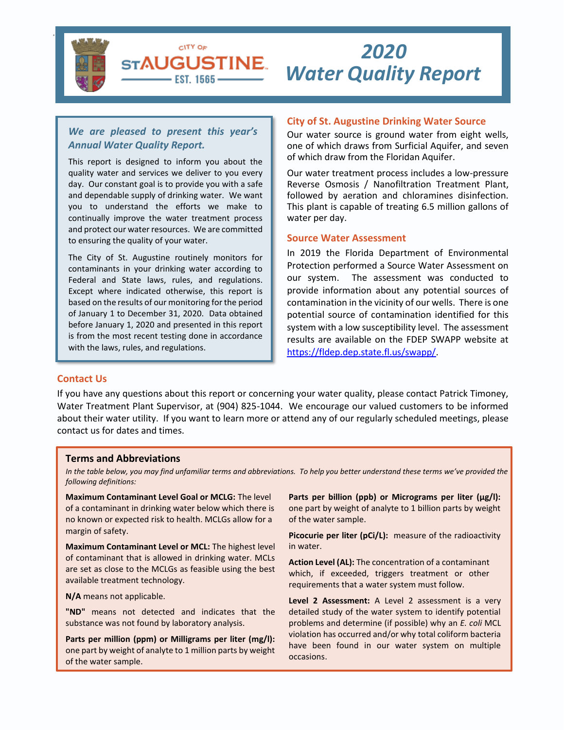

# *Water Quality Report 2020*

# *We are pleased to present this year's Annual Water Quality Report.*

CITY OF **STAUGUSTINE** - EST. 1565 –

This report is designed to inform you about the quality water and services we deliver to you every day. Our constant goal is to provide you with a safe and dependable supply of drinking water. We want you to understand the efforts we make to continually improve the water treatment process and protect our water resources. We are committed to ensuring the quality of your water.

The City of St. Augustine routinely monitors for contaminants in your drinking water according to Federal and State laws, rules, and regulations. Except where indicated otherwise, this report is based on the results of our monitoring for the period of January 1 to December 31, 2020. Data obtained before January 1, 2020 and presented in this report is from the most recent testing done in accordance with the laws, rules, and regulations.

## **City of St. Augustine Drinking Water Source**

Our water source is ground water from eight wells, one of which draws from Surficial Aquifer, and seven of which draw from the Floridan Aquifer.

Our water treatment process includes a low-pressure Reverse Osmosis / Nanofiltration Treatment Plant, followed by aeration and chloramines disinfection. This plant is capable of treating 6.5 million gallons of water per day.

#### **Source Water Assessment**

In 2019 the Florida Department of Environmental Protection performed a Source Water Assessment on our system. The assessment was conducted to provide information about any potential sources of contamination in the vicinity of our wells. There is one potential source of contamination identified for this system with a low susceptibility level. The assessment results are available on the FDEP SWAPP website at [https://fldep.dep.state.fl.us/swapp/.](https://fldep.dep.state.fl.us/swapp/)

#### **Contact Us**

 $\overline{a}$ 

If you have any questions about this report or concerning your water quality, please contact Patrick Timoney, Water Treatment Plant Supervisor, at (904) 825-1044. We encourage our valued customers to be informed about their water utility. If you want to learn more or attend any of our regularly scheduled meetings, please contact us for dates and times.

#### **Terms and Abbreviations**

*In the table below, you may find unfamiliar terms and abbreviations. To help you better understand these terms we've provided the following definitions:*

**Maximum Contaminant Level Goal or MCLG:** The level of a contaminant in drinking water below which there is no known or expected risk to health. MCLGs allow for a margin of safety.

**Maximum Contaminant Level or MCL:** The highest level of contaminant that is allowed in drinking water. MCLs are set as close to the MCLGs as feasible using the best available treatment technology.

**N/A** means not applicable.

**"ND"** means not detected and indicates that the substance was not found by laboratory analysis.

**Parts per million (ppm) or Milligrams per liter (mg/l):** one part by weight of analyte to 1 million parts by weight of the water sample.

Parts per billion (ppb) or Micrograms per liter (µg/l): one part by weight of analyte to 1 billion parts by weight of the water sample.

**Picocurie per liter (pCi/L):** measure of the radioactivity in water.

**Action Level (AL):** The concentration of a contaminant which, if exceeded, triggers treatment or other requirements that a water system must follow.

**Level 2 Assessment:** A Level 2 assessment is a very detailed study of the water system to identify potential problems and determine (if possible) why an *E. coli* MCL violation has occurred and/or why total coliform bacteria have been found in our water system on multiple occasions.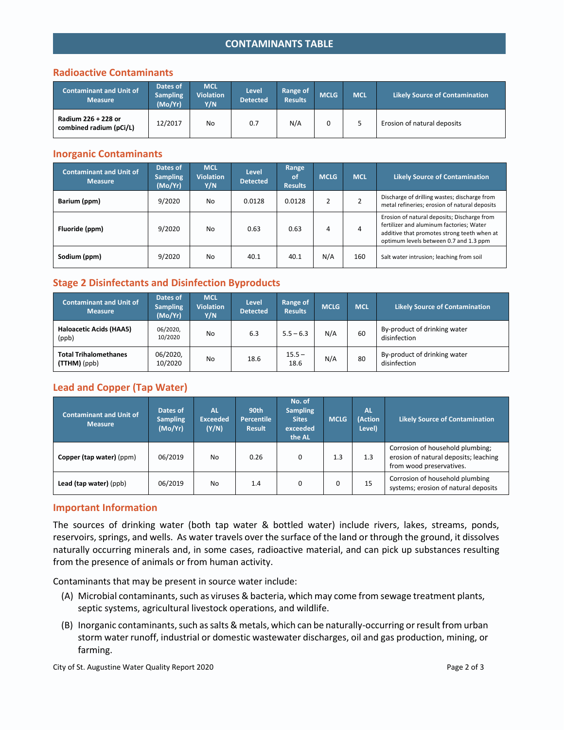# **CONTAMINANTS TABLE**

### **Radioactive Contaminants**

| <b>Contaminant and Unit of</b><br><b>Measure</b> | Dates of<br><b>Sampling</b><br>(Mo/Yr) | <b>MCL</b><br><b>Violation</b><br>Y/N | Level<br><b>Detected</b> | Range of<br><b>Results</b> | <b>MCLG</b> | <b>MCL</b> | <b>Likely Source of Contamination</b> |
|--------------------------------------------------|----------------------------------------|---------------------------------------|--------------------------|----------------------------|-------------|------------|---------------------------------------|
| Radium 226 + 228 or<br>combined radium (pCi/L)   | 12/2017                                | No                                    | 0.7                      | N/A                        |             |            | Erosion of natural deposits           |

#### **Inorganic Contaminants**

| <b>Contaminant and Unit of</b><br><b>Measure</b> | Dates of<br><b>Sampling</b><br>(Mo/Yr) | <b>MCL</b><br><b>Violation</b><br>Y/N | <b>Level</b><br><b>Detected</b> | Range<br>0f<br><b>Results</b> | <b>MCLG</b> | <b>MCL</b> | <b>Likely Source of Contamination</b>                                                                                                                                            |
|--------------------------------------------------|----------------------------------------|---------------------------------------|---------------------------------|-------------------------------|-------------|------------|----------------------------------------------------------------------------------------------------------------------------------------------------------------------------------|
| Barium (ppm)                                     | 9/2020                                 | No                                    | 0.0128                          | 0.0128                        |             |            | Discharge of drilling wastes; discharge from<br>metal refineries; erosion of natural deposits                                                                                    |
| Fluoride (ppm)                                   | 9/2020                                 | No.                                   | 0.63                            | 0.63                          | 4           | 4          | Erosion of natural deposits; Discharge from<br>fertilizer and aluminum factories; Water<br>additive that promotes strong teeth when at<br>optimum levels between 0.7 and 1.3 ppm |
| Sodium (ppm)                                     | 9/2020                                 | No.                                   | 40.1                            | 40.1                          | N/A         | 160        | Salt water intrusion; leaching from soil                                                                                                                                         |

## **Stage 2 Disinfectants and Disinfection Byproducts**

| <b>Contaminant and Unit of</b><br><b>Measure</b> | Dates of<br><b>Sampling</b><br>(Mo/Yr) | <b>MCL</b><br><b>Violation</b><br>Y/N | <b>Level</b><br><b>Detected</b> | Range of<br><b>Results</b> | <b>MCLG</b> | <b>MCL</b> | <b>Likely Source of Contamination</b>        |
|--------------------------------------------------|----------------------------------------|---------------------------------------|---------------------------------|----------------------------|-------------|------------|----------------------------------------------|
| Haloacetic Acids (HAA5)<br>(ppb)                 | 06/2020,<br>10/2020                    | No                                    | 6.3                             | $5.5 - 6.3$                | N/A         | 60         | By-product of drinking water<br>disinfection |
| <b>Total Trihalomethanes</b><br>(TTHM)(ppb)      | 06/2020,<br>10/2020                    | No                                    | 18.6                            | $15.5 -$<br>18.6           | N/A         | 80         | By-product of drinking water<br>disinfection |

# **Lead and Copper (Tap Water)**

| <b>Contaminant and Unit of</b><br>Measure | Dates of<br><b>Sampling</b><br>(Mo/Yr) | AL<br><b>Exceeded</b><br>(Y/N) | 90th<br><b>Percentile</b><br><b>Result</b> | No. of<br><b>Sampling</b><br><b>Sites</b><br>exceeded<br>the AL | <b>MCLG</b> | <b>AL</b><br>(Action<br>Level) | <b>Likely Source of Contamination</b>                                                                 |
|-------------------------------------------|----------------------------------------|--------------------------------|--------------------------------------------|-----------------------------------------------------------------|-------------|--------------------------------|-------------------------------------------------------------------------------------------------------|
| Copper (tap water) (ppm)                  | 06/2019                                | No                             | 0.26                                       | 0                                                               | 1.3         | 1.3                            | Corrosion of household plumbing;<br>erosion of natural deposits; leaching<br>from wood preservatives. |
| Lead (tap water) (ppb)                    | 06/2019                                | No                             | 1.4                                        | 0                                                               | $\Omega$    | 15                             | Corrosion of household plumbing<br>systems; erosion of natural deposits                               |

### **Important Information**

The sources of drinking water (both tap water & bottled water) include rivers, lakes, streams, ponds, reservoirs, springs, and wells. As water travels over the surface of the land or through the ground, it dissolves naturally occurring minerals and, in some cases, radioactive material, and can pick up substances resulting from the presence of animals or from human activity.

Contaminants that may be present in source water include:

- (A) Microbial contaminants, such as viruses & bacteria, which may come from sewage treatment plants, septic systems, agricultural livestock operations, and wildlife.
- (B) Inorganic contaminants, such as salts & metals, which can be naturally-occurring or result from urban storm water runoff, industrial or domestic wastewater discharges, oil and gas production, mining, or farming.